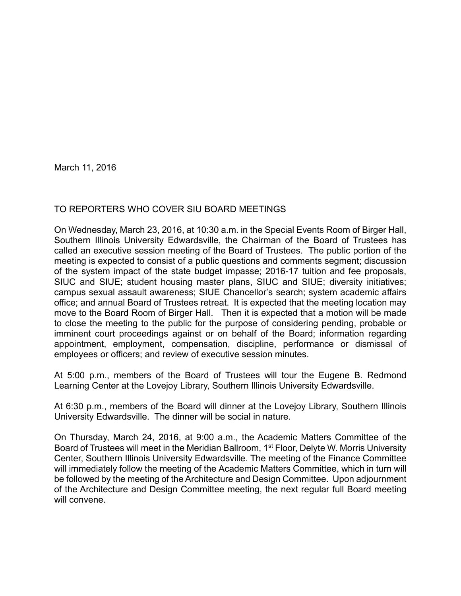March 11, 2016

## TO REPORTERS WHO COVER SIU BOARD MEETINGS

On Wednesday, March 23, 2016, at 10:30 a.m. in the Special Events Room of Birger Hall, Southern Illinois University Edwardsville, the Chairman of the Board of Trustees has called an executive session meeting of the Board of Trustees. The public portion of the meeting is expected to consist of a public questions and comments segment; discussion of the system impact of the state budget impasse; 2016-17 tuition and fee proposals, SIUC and SIUE; student housing master plans, SIUC and SIUE; diversity initiatives; campus sexual assault awareness; SIUE Chancellor's search; system academic affairs office; and annual Board of Trustees retreat. It is expected that the meeting location may move to the Board Room of Birger Hall. Then it is expected that a motion will be made to close the meeting to the public for the purpose of considering pending, probable or imminent court proceedings against or on behalf of the Board; information regarding appointment, employment, compensation, discipline, performance or dismissal of employees or officers; and review of executive session minutes.

At 5:00 p.m., members of the Board of Trustees will tour the Eugene B. Redmond Learning Center at the Lovejoy Library, Southern Illinois University Edwardsville.

At 6:30 p.m., members of the Board will dinner at the Lovejoy Library, Southern Illinois University Edwardsville. The dinner will be social in nature.

On Thursday, March 24, 2016, at 9:00 a.m., the Academic Matters Committee of the Board of Trustees will meet in the Meridian Ballroom, 1<sup>st</sup> Floor, Delyte W. Morris University Center, Southern Illinois University Edwardsville. The meeting of the Finance Committee will immediately follow the meeting of the Academic Matters Committee, which in turn will be followed by the meeting of the Architecture and Design Committee. Upon adjournment of the Architecture and Design Committee meeting, the next regular full Board meeting will convene.